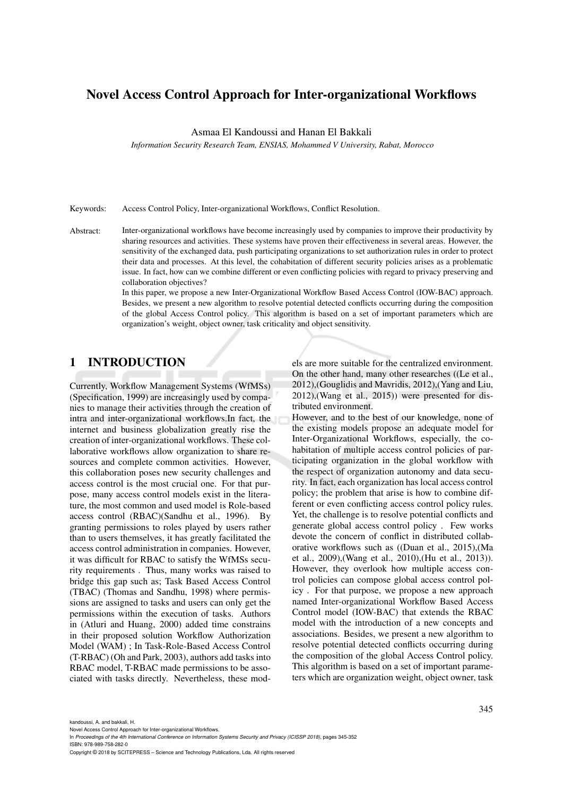# Novel Access Control Approach for Inter-organizational Workflows

Asmaa El Kandoussi and Hanan El Bakkali

*Information Security Research Team, ENSIAS, Mohammed V University, Rabat, Morocco*

Keywords: Access Control Policy, Inter-organizational Workflows, Conflict Resolution.

Abstract: Inter-organizational workflows have become increasingly used by companies to improve their productivity by sharing resources and activities. These systems have proven their effectiveness in several areas. However, the sensitivity of the exchanged data, push participating organizations to set authorization rules in order to protect their data and processes. At this level, the cohabitation of different security policies arises as a problematic issue. In fact, how can we combine different or even conflicting policies with regard to privacy preserving and collaboration objectives?

> In this paper, we propose a new Inter-Organizational Workflow Based Access Control (IOW-BAC) approach. Besides, we present a new algorithm to resolve potential detected conflicts occurring during the composition of the global Access Control policy. This algorithm is based on a set of important parameters which are organization's weight, object owner, task criticality and object sensitivity.

# 1 INTRODUCTION

Currently, Workflow Management Systems (WfMSs) (Specification, 1999) are increasingly used by companies to manage their activities through the creation of intra and inter-organizational workflows.In fact, the internet and business globalization greatly rise the creation of inter-organizational workflows. These collaborative workflows allow organization to share resources and complete common activities. However, this collaboration poses new security challenges and access control is the most crucial one. For that purpose, many access control models exist in the literature, the most common and used model is Role-based access control (RBAC)(Sandhu et al., 1996). By granting permissions to roles played by users rather than to users themselves, it has greatly facilitated the access control administration in companies. However, it was difficult for RBAC to satisfy the WfMSs security requirements . Thus, many works was raised to bridge this gap such as; Task Based Access Control (TBAC) (Thomas and Sandhu, 1998) where permissions are assigned to tasks and users can only get the permissions within the execution of tasks. Authors in (Atluri and Huang, 2000) added time constrains in their proposed solution Workflow Authorization Model (WAM) ; In Task-Role-Based Access Control (T-RBAC) (Oh and Park, 2003), authors add tasks into RBAC model, T-RBAC made permissions to be associated with tasks directly. Nevertheless, these models are more suitable for the centralized environment. On the other hand, many other researches ((Le et al., 2012),(Gouglidis and Mavridis, 2012),(Yang and Liu, 2012),(Wang et al., 2015)) were presented for distributed environment.

However, and to the best of our knowledge, none of the existing models propose an adequate model for Inter-Organizational Workflows, especially, the cohabitation of multiple access control policies of participating organization in the global workflow with the respect of organization autonomy and data security. In fact, each organization has local access control policy; the problem that arise is how to combine different or even conflicting access control policy rules. Yet, the challenge is to resolve potential conflicts and generate global access control policy . Few works devote the concern of conflict in distributed collaborative workflows such as ((Duan et al., 2015),(Ma et al., 2009),(Wang et al., 2010),(Hu et al., 2013)). However, they overlook how multiple access control policies can compose global access control policy . For that purpose, we propose a new approach named Inter-organizational Workflow Based Access Control model (IOW-BAC) that extends the RBAC model with the introduction of a new concepts and associations. Besides, we present a new algorithm to resolve potential detected conflicts occurring during the composition of the global Access Control policy. This algorithm is based on a set of important parameters which are organization weight, object owner, task

kandoussi, A. and bakkali, H.

Novel Access Control Approach for Inter-organizational Workflows.

In *Proceedings of the 4th International Conference on Information Systems Security and Privacy (ICISSP 2018)*, pages 345-352 ISBN: 978-989-758-282-0

Copyright © 2018 by SCITEPRESS – Science and Technology Publications, Lda. All rights reserved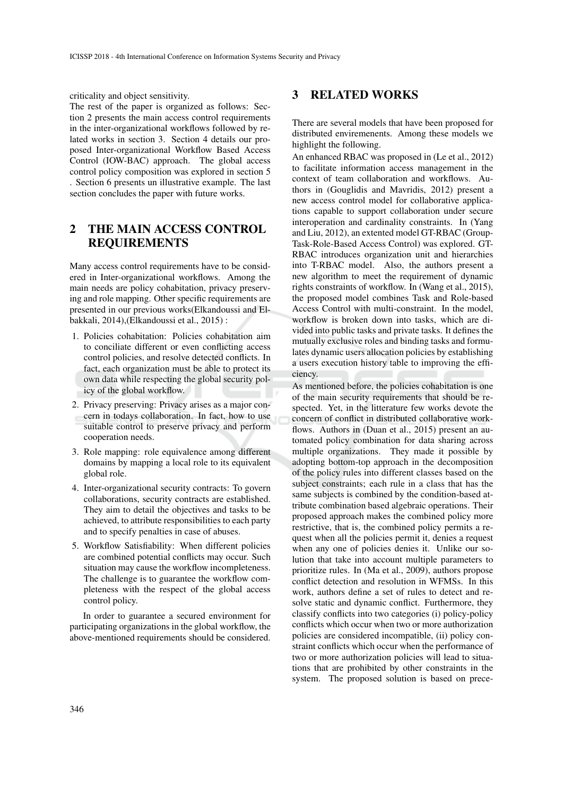criticality and object sensitivity.

The rest of the paper is organized as follows: Section 2 presents the main access control requirements in the inter-organizational workflows followed by related works in section 3. Section 4 details our proposed Inter-organizational Workflow Based Access Control (IOW-BAC) approach. The global access control policy composition was explored in section 5 . Section 6 presents un illustrative example. The last section concludes the paper with future works.

# 2 THE MAIN ACCESS CONTROL REQUIREMENTS

Many access control requirements have to be considered in Inter-organizational workflows. Among the main needs are policy cohabitation, privacy preserving and role mapping. Other specific requirements are presented in our previous works(Elkandoussi and Elbakkali, 2014),(Elkandoussi et al., 2015) :

- 1. Policies cohabitation: Policies cohabitation aim to conciliate different or even conflicting access control policies, and resolve detected conflicts. In fact, each organization must be able to protect its own data while respecting the global security policy of the global workflow.
- 2. Privacy preserving: Privacy arises as a major concern in todays collaboration. In fact, how to use suitable control to preserve privacy and perform cooperation needs.
- 3. Role mapping: role equivalence among different domains by mapping a local role to its equivalent global role.
- 4. Inter-organizational security contracts: To govern collaborations, security contracts are established. They aim to detail the objectives and tasks to be achieved, to attribute responsibilities to each party and to specify penalties in case of abuses.
- 5. Workflow Satisfiability: When different policies are combined potential conflicts may occur. Such situation may cause the workflow incompleteness. The challenge is to guarantee the workflow completeness with the respect of the global access control policy.

In order to guarantee a secured environment for participating organizations in the global workflow, the above-mentioned requirements should be considered.

### 3 RELATED WORKS

There are several models that have been proposed for distributed enviremenents. Among these models we highlight the following.

An enhanced RBAC was proposed in (Le et al., 2012) to facilitate information access management in the context of team collaboration and workflows. Authors in (Gouglidis and Mavridis, 2012) present a new access control model for collaborative applications capable to support collaboration under secure interoperation and cardinality constraints. In (Yang and Liu, 2012), an extented model GT-RBAC (Group-Task-Role-Based Access Control) was explored. GT-RBAC introduces organization unit and hierarchies into T-RBAC model. Also, the authors present a new algorithm to meet the requirement of dynamic rights constraints of workflow. In (Wang et al., 2015), the proposed model combines Task and Role-based Access Control with multi-constraint. In the model, workflow is broken down into tasks, which are divided into public tasks and private tasks. It defines the mutually exclusive roles and binding tasks and formulates dynamic users allocation policies by establishing a users execution history table to improving the efficiency.

As mentioned before, the policies cohabitation is one of the main security requirements that should be respected. Yet, in the litterature few works devote the concern of conflict in distributed collaborative workflows. Authors in (Duan et al., 2015) present an automated policy combination for data sharing across multiple organizations. They made it possible by adopting bottom-top approach in the decomposition of the policy rules into different classes based on the subject constraints; each rule in a class that has the same subjects is combined by the condition-based attribute combination based algebraic operations. Their proposed approach makes the combined policy more restrictive, that is, the combined policy permits a request when all the policies permit it, denies a request when any one of policies denies it. Unlike our solution that take into account multiple parameters to prioritize rules. In (Ma et al., 2009), authors propose conflict detection and resolution in WFMSs. In this work, authors define a set of rules to detect and resolve static and dynamic conflict. Furthermore, they classify conflicts into two categories (i) policy-policy conflicts which occur when two or more authorization policies are considered incompatible, (ii) policy constraint conflicts which occur when the performance of two or more authorization policies will lead to situations that are prohibited by other constraints in the system. The proposed solution is based on prece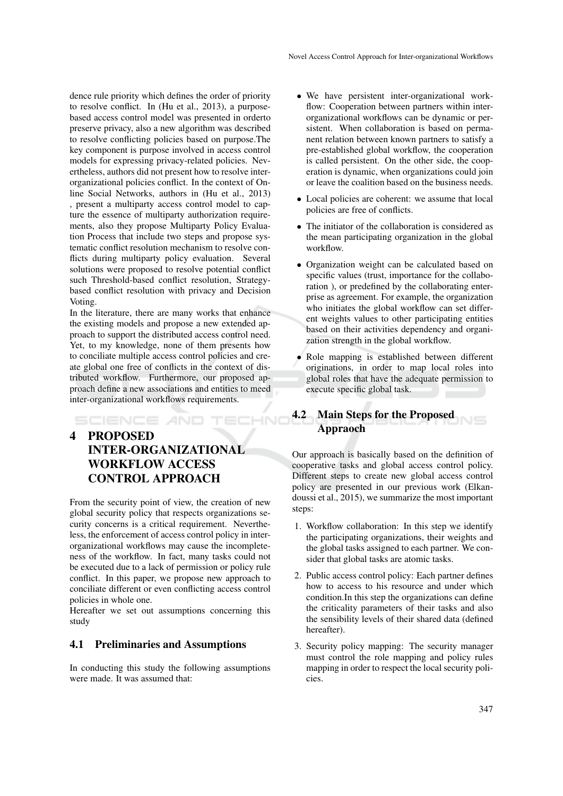dence rule priority which defines the order of priority to resolve conflict. In (Hu et al., 2013), a purposebased access control model was presented in orderto preserve privacy, also a new algorithm was described to resolve conflicting policies based on purpose.The key component is purpose involved in access control models for expressing privacy-related policies. Nevertheless, authors did not present how to resolve interorganizational policies conflict. In the context of Online Social Networks, authors in (Hu et al., 2013) , present a multiparty access control model to capture the essence of multiparty authorization requirements, also they propose Multiparty Policy Evaluation Process that include two steps and propose systematic conflict resolution mechanism to resolve conflicts during multiparty policy evaluation. Several solutions were proposed to resolve potential conflict such Threshold-based conflict resolution, Strategybased conflict resolution with privacy and Decision Voting.

In the literature, there are many works that enhance the existing models and propose a new extended approach to support the distributed access control need. Yet, to my knowledge, none of them presents how to conciliate multiple access control policies and create global one free of conflicts in the context of distributed workflow. Furthermore, our proposed approach define a new associations and entities to meed inter-organizational workflows requirements.

# 4 PROPOSED INTER-ORGANIZATIONAL WORKFLOW ACCESS CONTROL APPROACH

SCIENCE *A*ND

From the security point of view, the creation of new global security policy that respects organizations security concerns is a critical requirement. Nevertheless, the enforcement of access control policy in interorganizational workflows may cause the incompleteness of the workflow. In fact, many tasks could not be executed due to a lack of permission or policy rule conflict. In this paper, we propose new approach to conciliate different or even conflicting access control policies in whole one.

Hereafter we set out assumptions concerning this study

#### 4.1 Preliminaries and Assumptions

In conducting this study the following assumptions were made. It was assumed that:

- We have persistent inter-organizational workflow: Cooperation between partners within interorganizational workflows can be dynamic or persistent. When collaboration is based on permanent relation between known partners to satisfy a pre-established global workflow, the cooperation is called persistent. On the other side, the cooperation is dynamic, when organizations could join or leave the coalition based on the business needs.
- Local policies are coherent: we assume that local policies are free of conflicts.
- The initiator of the collaboration is considered as the mean participating organization in the global workflow.
- Organization weight can be calculated based on specific values (trust, importance for the collaboration ), or predefined by the collaborating enterprise as agreement. For example, the organization who initiates the global workflow can set different weights values to other participating entities based on their activities dependency and organization strength in the global workflow.
- Role mapping is established between different originations, in order to map local roles into global roles that have the adequate permission to execute specific global task.

# 4.2 Main Steps for the Proposed Appraoch

Our approach is basically based on the definition of cooperative tasks and global access control policy. Different steps to create new global access control policy are presented in our previous work (Elkandoussi et al., 2015), we summarize the most important steps:

- 1. Workflow collaboration: In this step we identify the participating organizations, their weights and the global tasks assigned to each partner. We consider that global tasks are atomic tasks.
- 2. Public access control policy: Each partner defines how to access to his resource and under which condition.In this step the organizations can define the criticality parameters of their tasks and also the sensibility levels of their shared data (defined hereafter).
- 3. Security policy mapping: The security manager must control the role mapping and policy rules mapping in order to respect the local security policies.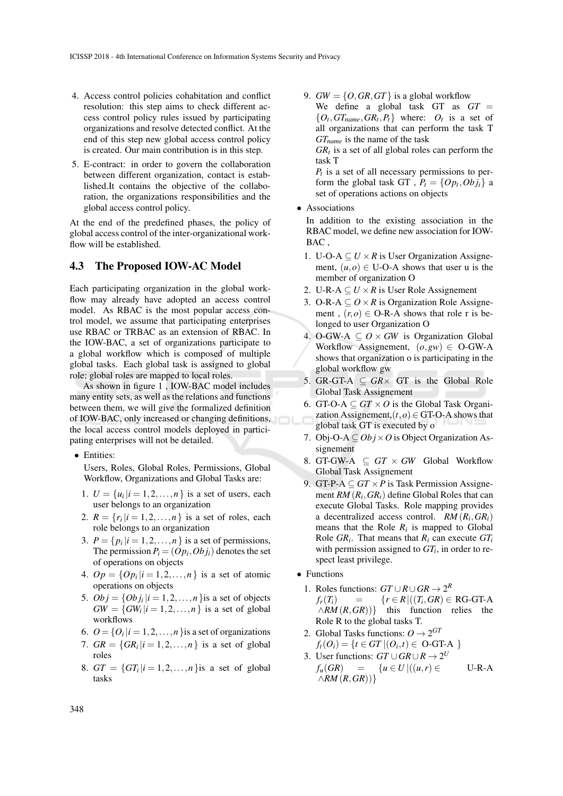- 4. Access control policies cohabitation and conflict resolution: this step aims to check different access control policy rules issued by participating organizations and resolve detected conflict. At the end of this step new global access control policy is created. Our main contribution is in this step.
- 5. E-contract: in order to govern the collaboration between different organization, contact is established.It contains the objective of the collaboration, the organizations responsibilities and the global access control policy.

At the end of the predefined phases, the policy of global access control of the inter-organizational workflow will be established.

#### 4.3 The Proposed IOW-AC Model

Each participating organization in the global workflow may already have adopted an access control model. As RBAC is the most popular access control model, we assume that participating enterprises use RBAC or TRBAC as an extension of RBAC. In the IOW-BAC, a set of organizations participate to a global workflow which is composed of multiple global tasks. Each global task is assigned to global role; global roles are mapped to local roles.

As shown in figure 1 , IOW-BAC model includes many entity sets, as well as the relations and functions between them, we will give the formalized definition of IOW-BAC, only increased or changing definitions, the local access control models deployed in participating enterprises will not be detailed.

• Entities:

Users, Roles, Global Roles, Permissions, Global Workflow, Organizations and Global Tasks are:

- 1.  $U = \{u_i | i = 1, 2, ..., n\}$  is a set of users, each user belongs to an organization
- 2.  $R = \{r_i | i = 1, 2, ..., n\}$  is a set of roles, each role belongs to an organization
- 3.  $P = \{p_i | i = 1, 2, \ldots, n\}$  is a set of permissions, The permission  $P_i = (Op_i, Ob_j_i)$  denotes the set of operations on objects
- 4.  $Op = \{Op_i | i = 1, 2, ..., n\}$  is a set of atomic operations on objects
- 5.  $Obj = \{Obj_i | i = 1, 2, ..., n\}$ is a set of objects  $GW = \{GW_i | i = 1, 2, \ldots, n\}$  is a set of global workflows
- 6.  $O = \{O_i | i = 1, 2, ..., n\}$  is a set of organizations
- 7.  $GR = \{GR_i | i = 1, 2, ..., n\}$  is a set of global roles
- 8.  $GT = \{GT_i | i = 1, 2, ..., n\}$ is a set of global tasks

9.  $GW = \{O, GR, GT\}$  is a global workflow We define a global task GT as  $GT =$  $\{O_t, GT_{name}, GR_t, P_t\}$  where:  $O_t$  is a set of all organizations that can perform the task T *GTname* is the name of the task

 $GR<sub>t</sub>$  is a set of all global roles can perform the task T

 $P_t$  is a set of all necessary permissions to perform the global task GT,  $P_t = \{Op_t,Obj_t\}$  a set of operations actions on objects

• Associations

In addition to the existing association in the RBAC model, we define new association for IOW-BAC ,

- 1. U-O-A  $\subseteq U \times R$  is User Organization Assignement,  $(u, o) \in U$ -O-A shows that user u is the member of organization O
- 2. U-R-A  $\subseteq U \times R$  is User Role Assignement
- 3. O-R-A  $\subseteq$  *O*  $\times$  *R* is Organization Role Assignement,  $(r, o) \in O-R-A$  shows that role r is belonged to user Organization O
- 4. O-GW-A  $\subseteq$  *O*  $\times$  *GW* is Organization Global Workflow Assignement,  $(o, gw) \in O-GW-A$ shows that organization o is participating in the global workflow gw
- 5. GR-GT-A  $\subseteq$  *GR* $\times$  GT is the Global Role Global Task Assignement
- 6. GT-O-A  $\subseteq$  *GT*  $\times$  *O* is the Global Task Organization Assignement, $(t, o) \in$  GT-O-A shows that global task GT is executed by o
- 7. Obj-O-A  $\subseteq$  *Obj*  $\times$  *O* is Object Organization Assignement
- 8. GT-GW-A  $\subset$  *GT*  $\times$  *GW* Global Workflow Global Task Assignement
- 9. GT-P- $A \subseteq GT \times P$  is Task Permission Assignement *RM* (*R<sup>i</sup>* ,*GRi*) define Global Roles that can execute Global Tasks. Role mapping provides a decentralized access control.  $RM(R_i, GR_i)$ means that the Role  $R_i$  is mapped to Global Role  $GR_i$ . That means that  $R_i$  can execute  $GT_i$ with permission assigned to  $GT_i$ , in order to respect least privilege.
- Functions
	- 1. Roles functions:  $GT \cup R \cup GR \rightarrow 2^R$  $f_r(T_i)$  = { $r \in R \mid ((T_i, GR) \in \text{RG-GT-A})$ ∧*RM* (*R*,*GR*))} this function relies the Role R to the global tasks T.
	- 2. Global Tasks functions:  $Q \rightarrow 2^{GI}$  $f_t(O_i) = \{ t \in GT | (O_i, t) \in O \text{-}G \text{T-A }\}$
	- 3. User functions:  $GT \cup GR \cup R \rightarrow 2^U$ *f*<sup>*u*</sup>(*GR*) = {*u* ∈ *U* |((*u*,*r*) ∈ U-R-A ∧*RM* (*R*,*GR*))}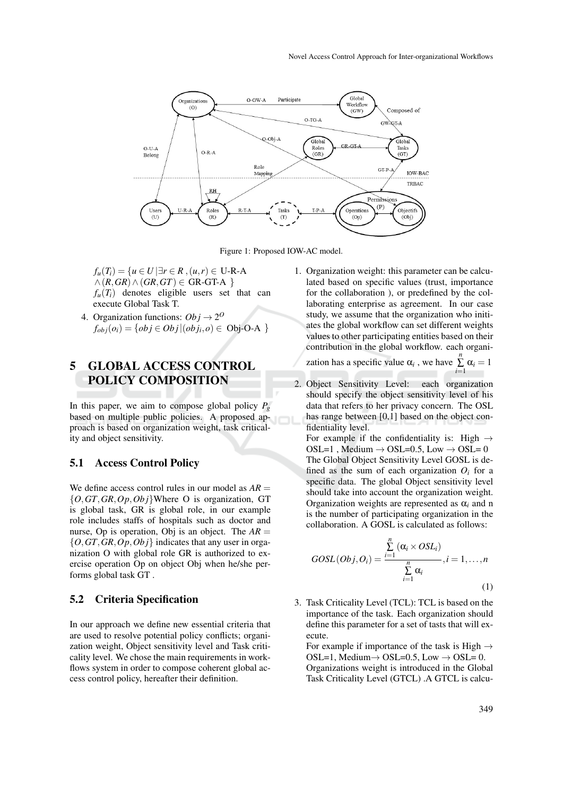

Figure 1: Proposed IOW-AC model.

- *f*<sup>*u*</sup>(*T*<sub>*i*</sub>) = {*u* ∈ *U*  $\exists$ *r* ∈ *R* , (*u*,*r*) ∈ U-R-A  $∧$  (*R*, *GR*) ∧ (*GR*, *GT*) ∈ GR-GT-A }  $f_u(T_i)$  denotes eligible users set that can execute Global Task T.
- 4. Organization functions:  $Obj \rightarrow 2^{\circ}$  $f_{obj}(o_i) = \{obj \in Obj | (obj_i, o) \in Obj \text{-}O - A} \}$

### 5 GLOBAL ACCESS CONTROL POLICY COMPOSITION

In this paper, we aim to compose global policy  $P_g$ based on multiple public policies. A proposed approach is based on organization weight, task criticality and object sensitivity.

#### 5.1 Access Control Policy

We define access control rules in our model as  $AR =$ {*O*,*GT*,*GR*,*Op*,*Ob j*}Where O is organization, GT is global task, GR is global role, in our example role includes staffs of hospitals such as doctor and nurse, Op is operation, Obj is an object. The  $AR =$ {*O*,*GT*,*GR*,*Op*,*Ob j*} indicates that any user in organization O with global role GR is authorized to exercise operation Op on object Obj when he/she performs global task GT .

#### 5.2 Criteria Specification

In our approach we define new essential criteria that are used to resolve potential policy conflicts; organization weight, Object sensitivity level and Task criticality level. We chose the main requirements in workflows system in order to compose coherent global access control policy, hereafter their definition.

1. Organization weight: this parameter can be calculated based on specific values (trust, importance for the collaboration ), or predefined by the collaborating enterprise as agreement. In our case study, we assume that the organization who initiates the global workflow can set different weights values to other participating entities based on their contribution in the global workflow. each organi-

zation has a specific value  $\alpha_i$ , we have  $\sum_{i=1}^n \alpha_i = 1$ 

2. Object Sensitivity Level: each organization should specify the object sensitivity level of his data that refers to her privacy concern. The OSL has range between [0,1] based on the object confidentiality level.

For example if the confidentiality is: High  $\rightarrow$ OSL=1, Medium  $\rightarrow$  OSL=0.5, Low  $\rightarrow$  OSL=0 The Global Object Sensitivity Level GOSL is defined as the sum of each organization  $O_i$  for a specific data. The global Object sensitivity level should take into account the organization weight. Organization weights are represented as  $\alpha_i$  and n is the number of participating organization in the collaboration. A GOSL is calculated as follows:

$$
GOSL(Obj, O_i) = \frac{\sum_{i=1}^{n} (\alpha_i \times OSL_i)}{\sum_{i=1}^{n} \alpha_i}, i = 1, ..., n
$$
\n(1)

3. Task Criticality Level (TCL): TCL is based on the importance of the task. Each organization should define this parameter for a set of tasts that will execute.

For example if importance of the task is High  $\rightarrow$ OSL=1, Medium $\rightarrow$  OSL=0.5, Low  $\rightarrow$  OSL= 0. Organizations weight is introduced in the Global Task Criticality Level (GTCL) .A GTCL is calcu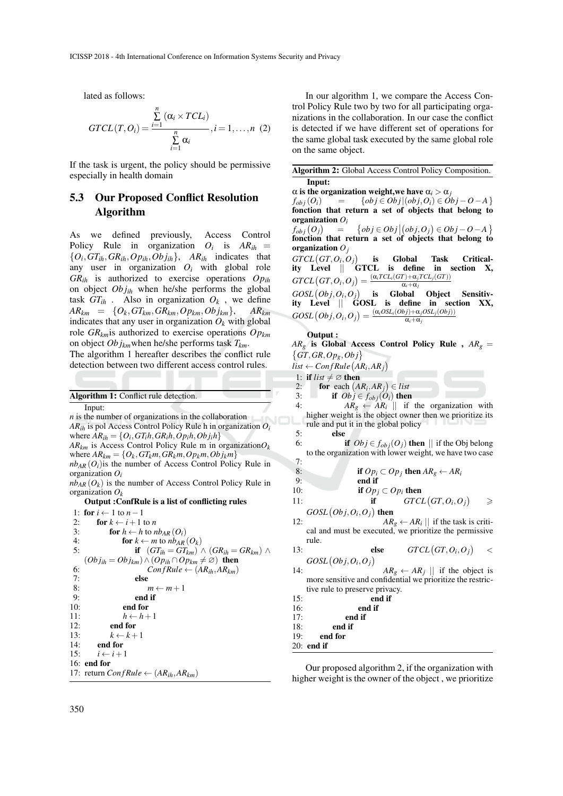lated as follows:

$$
GTCL(T, O_i) = \frac{\sum_{i=1}^{n} (\alpha_i \times TCL_i)}{\sum_{i=1}^{n} \alpha_i}, i = 1, ..., n \quad (2)
$$

If the task is urgent, the policy should be permissive especially in health domain

### 5.3 Our Proposed Conflict Resolution Algorithm

As we defined previously, Access Control Policy Rule in organization  $O_i$  is  $AR_{ih}$  =  $\{O_i, GT_{ih}, GR_{ih}, Op_{ih}, Obj_{ih}\}$ ,  $AR_{ih}$  indicates that any user in organization  $O_i$  with global role *GRih* is authorized to exercise operations *Opih* on object *Ob jih* when he/she performs the global task  $GT_{ih}$ . Also in organization  $O_k$ , we define  $AR_{km} = \{O_k, GT_{km}, GR_{km}, Op_{km}, Obj_{km}\}, \quad AR_{km}$ indicates that any user in organization  $O_k$  with global role *GRkm*is authorized to exercise operations *Opkm* on object *Ob jkm*when he/she performs task *Tkm*.

The algorithm 1 hereafter describes the conflict rule detection between two different access control rules.

| <b>Algorithm 1:</b> Conflict rule detection. |  |
|----------------------------------------------|--|
|                                              |  |

Input: *n* is the number of organizations in the collaboration *ARih* is pol Access Control Policy Rule h in organization *O<sup>i</sup>* where  $AR_{ih} = \{O_i, GT_ih, GR_ih, Op_ih, Obj_ih\}$  $AR_{km}$  is Access Control Policy Rule m in organization $O_k$ where  $AR_{km} = \{O_k, GT_km, GR_km, Op_km, Obj_km\}$  $nb_{AR}(O_i)$  is the number of Access Control Policy Rule in organization *Oi*

 $nb_{AR}(O_k)$  is the number of Access Control Policy Rule in organization *O<sup>k</sup>*

#### Output :ConfRule is a list of conflicting rules

|     | 1: for $i \leftarrow 1$ to $n-1$                                          |
|-----|---------------------------------------------------------------------------|
| 2:  | <b>for</b> $k \leftarrow i+1$ to n                                        |
| 3:  | <b>for</b> $h \leftarrow h$ to $nb_{AR}(O_i)$                             |
| 4:  | <b>for</b> $k \leftarrow m$ to $nb_{AR}(O_k)$                             |
| 5:  | if $(GT_{ih} = GT_{km}) \wedge (GR_{ih} = GR_{km}) \wedge$                |
|     | $(Obj_{ih} = Obj_{km}) \wedge (Op_{ih} \cap Op_{km} \neq \emptyset)$ then |
| 6:  | $ConfRule \leftarrow (AR_{ih}, AR_{km})$                                  |
| 7:  | else                                                                      |
| 8:  | $m \leftarrow m + 1$                                                      |
| 9:  | end if                                                                    |
| 10: | end for                                                                   |
| 11: | $h \leftarrow h + 1$                                                      |
| 12: | end for                                                                   |
| 13: | $k \leftarrow k+1$                                                        |
|     | 14: end for                                                               |
|     | 15: $i \leftarrow i+1$                                                    |
|     | $16:$ end for                                                             |
|     | 17: return $ConfRule \leftarrow (AR_{ih}, AR_{km})$                       |
|     |                                                                           |

In our algorithm 1, we compare the Access Control Policy Rule two by two for all participating organizations in the collaboration. In our case the conflict is detected if we have different set of operations for the same global task executed by the same global role on the same object.

Algorithm 2: Global Access Control Policy Composition. Input:

 $\alpha$  is the organization weight, we have  $\alpha_i > \alpha_j$ <br>  $f_{obj}(O_i) = \begin{cases} \frac{\partial b_j}{\partial O_j} & \text{if } O_i \end{cases}$ 

 ${obj ∈ Obj | (obj, O_i) ∈ \tilde{Obj} - O - A}$ fonction that return a set of objects that belong to organization *Oi*

 $f_{obj}(O_j)$ =  $\{obj \in Obj | (obj, O_j) \in Obj - O - A\}$ fonction that return a set of objects that belong to organization *Oj*

 $GTL(GT, O_i, O_j)$ is Global Task Criticality Level || GTCL is define in section X,  $GTCL(GT, O_i, O_j) =$  $(\alpha_i TCL_i(GT) + \alpha_j TCL_j(GT))$  $\alpha_i + \alpha_j$ 

 $GOSL(Obj, O_i, O_j)$ is Global Object Sensitivity Level || GOSL is define in section XX,  $GOSL\left(Obj,O_{i},O_{j}\right)=\frac{\left(\alpha_{i}OSL_{i}(Obj)+\alpha_{j}OSL_{j}(Obj)\right)}{\alpha_{i}+\alpha_{j}}$ 

#### Output :

 $AR_g$  is Global Access Control Policy Rule,  $AR_g =$  $\{GT, GR, Op_g, Obj\}$ 

 $list \leftarrow ConfRule(AR_i, AR_j)$ 

1: **if**  $list \neq \emptyset$  **then**<br>2: **for** each  $(A$ 

2: for each  $\left(AR_i, AR_j\right) \in list$ 

3: **if**  $Obj \in f_{obj}(O_i)$  then<br>4:  $AR_a \leftarrow AR_i \parallel$  if

4:  $AR_g \leftarrow AR_i \parallel$  if the organization with higher weight is the object owner then we prioritize its rule and put it in the global policy

```
5: \qquad \qquad else
```
if  $Obj \in f_{obj}(O_i)$  then  $||$  if the Obj belong to the organization with lower weight, we have two case

$$
\frac{7}{2}
$$

8: if 
$$
Op_i \subset Op_j
$$
 then  $AR_g \leftarrow AR_i$ 

9: end if<br>10:  $\frac{\text{end if}}{\text{if } \text{Op}}$ 

10: **if**  $Op_j \subset Op_i$  then<br> **if**  $CF \subset CTC$ 

11: if 
$$
GOL(OL, O_i, O_j)
$$
 then  $GTCL(GT, O_i, O_j)$ 

12:  $AR_g \leftarrow AR_i ||$  if the task is critical and must be executed, we prioritize the permissive  $AR_g \leftarrow AR_i ||$  if the task is critirule.

13: **else** 
$$
GTCL(GT, O_i, O_j) < GOSL(Obj, O_i, O_j)
$$

14:  $AR_g \leftarrow AR_j \parallel$  if the object is more sensitive and confidential we prioritize the restrictive rule to preserve privacy.

15: end if 16: end if 17:  $\qquad \qquad \text{end if}$ <br>18:  $\qquad \qquad \text{end if}$ 18: end if<br>19: end for

end for

20: end if

Our proposed algorithm 2, if the organization with higher weight is the owner of the object , we prioritize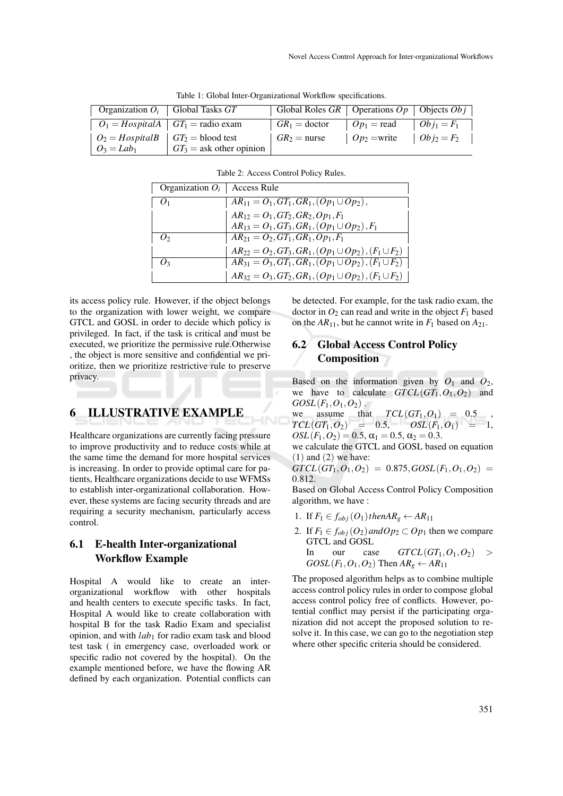| Organization $O_i$   Global Tasks $GT$                                                                                                      |                            | Global Roles GR   Operations $Op$   Objects $Obj$ |                                                                            |  |
|---------------------------------------------------------------------------------------------------------------------------------------------|----------------------------|---------------------------------------------------|----------------------------------------------------------------------------|--|
| $O_1 = HospitalA$ $GT_1$ = radio exam                                                                                                       |                            | $G R_1 =$ doctor $O p_1 =$ read $O b j_1 = F_1$   |                                                                            |  |
| $\begin{array}{ c c c c c } \hline \end{array}$ $O_2 = HospitalB$ $\begin{array}{ c c c c c } \hline \end{array} G T_2 = \text{blood test}$ |                            | $G_{1}R_2$ = nurse                                | $\begin{array}{ccc}   & Op_2 = \text{write} &   & Obj_2 = F_2 \end{array}$ |  |
| $\mid O_3 = Lab_1$                                                                                                                          | $GT_3$ = ask other opinion |                                                   |                                                                            |  |

Table 1: Global Inter-Organizational Workflow specifications.

| Table 2: Access Control Policy Rules. |  |  |
|---------------------------------------|--|--|
|                                       |  |  |

| Organization $O_i$   Access Rule |                                                                                              |
|----------------------------------|----------------------------------------------------------------------------------------------|
| $Q_1$                            | $AR_{11} = O_1, GT_1, GR_1, (Op_1 \cup Op_2),$                                               |
|                                  | $AR_{12} = O_1, GT_2, GR_2, Op_1, F_1$<br>$AR_{13} = O_1, GT_3, GR_1, (Op_1 \cup Op_2), F_1$ |
|                                  |                                                                                              |
| $\mathcal{O}_2$                  | $AR_{21} = O_2, GT_1, GR_1, Op_1, F_1$                                                       |
|                                  | $AR_{22} = O_2, GT_3, GR_1, (Op_1 \cup Op_2), (F_1 \cup F_2)$                                |
| ( ) 2                            | $\overline{AR_{31} = O_3}, GT_1, GR_1, (Op_1 \cup Op_2), (F_1 \cup F_2)$                     |
|                                  | $AR_{32} = O_3, GT_2, GR_1, (Op_1 \cup Op_2), (F_1 \cup F_2)$                                |

its access policy rule. However, if the object belongs to the organization with lower weight, we compare GTCL and GOSL in order to decide which policy is privileged. In fact, if the task is critical and must be executed, we prioritize the permissive rule.Otherwise , the object is more sensitive and confidential we prioritize, then we prioritize restrictive rule to preserve privacy.

# 6 ILLUSTRATIVE EXAMPLE

Healthcare organizations are currently facing pressure to improve productivity and to reduce costs while at the same time the demand for more hospital services is increasing. In order to provide optimal care for patients, Healthcare organizations decide to use WFMSs to establish inter-organizational collaboration. However, these systems are facing security threads and are requiring a security mechanism, particularly access control.

### 6.1 E-health Inter-organizational Workflow Example

Hospital A would like to create an interorganizational workflow with other hospitals and health centers to execute specific tasks. In fact, Hospital A would like to create collaboration with hospital B for the task Radio Exam and specialist opinion, and with *lab*<sup>1</sup> for radio exam task and blood test task ( in emergency case, overloaded work or specific radio not covered by the hospital). On the example mentioned before, we have the flowing AR defined by each organization. Potential conflicts can

be detected. For example, for the task radio exam, the doctor in  $O_2$  can read and write in the object  $F_1$  based on the  $AR_{11}$ , but he cannot write in  $F_1$  based on  $A_{21}$ .

### 6.2 Global Access Control Policy **Composition**

Based on the information given by  $O_1$  and  $O_2$ , we have to calculate  $GTCL(GT_1, O_1, O_2)$  and  $GOSL(F_1, O_1, O_2)$ .

we assume that  $TCL(GT_1, O_1) = 0.5$ ,  $TCL(GT_1, O_2) = 0.5, \qquad OSL(F_1, O_1) = 1,$  $OSL(F_1, O_2) = 0.5$ ,  $\alpha_1 = 0.5$ ,  $\alpha_2 = 0.3$ .

we calculate the GTCL and GOSL based on equation  $(1)$  and  $(2)$  we have:

 $GTCL(GT_1, O_1, O_2) = 0.875$ ,  $GOSL(F_1, O_1, O_2) = 0$ 0.812.

Based on Global Access Control Policy Composition algorithm, we have :

- 1. If  $F_1 \in f_{obj}(O_1)$ *thenAR*<sub>g</sub>  $\leftarrow$  *AR*<sub>11</sub>
- 2. If  $F_1 \in f_{obj}(O_2)$  and  $Op_2 \subset Op_1$  then we compare GTCL and GOSL In our case  $GTCL(GT_1, O_1, O_2)$

$$
GOSL(F_1, O_1, O_2) \text{ Then } AR_g \leftarrow AR_{11}
$$

The proposed algorithm helps as to combine multiple access control policy rules in order to compose global access control policy free of conflicts. However, potential conflict may persist if the participating organization did not accept the proposed solution to resolve it. In this case, we can go to the negotiation step where other specific criteria should be considered.